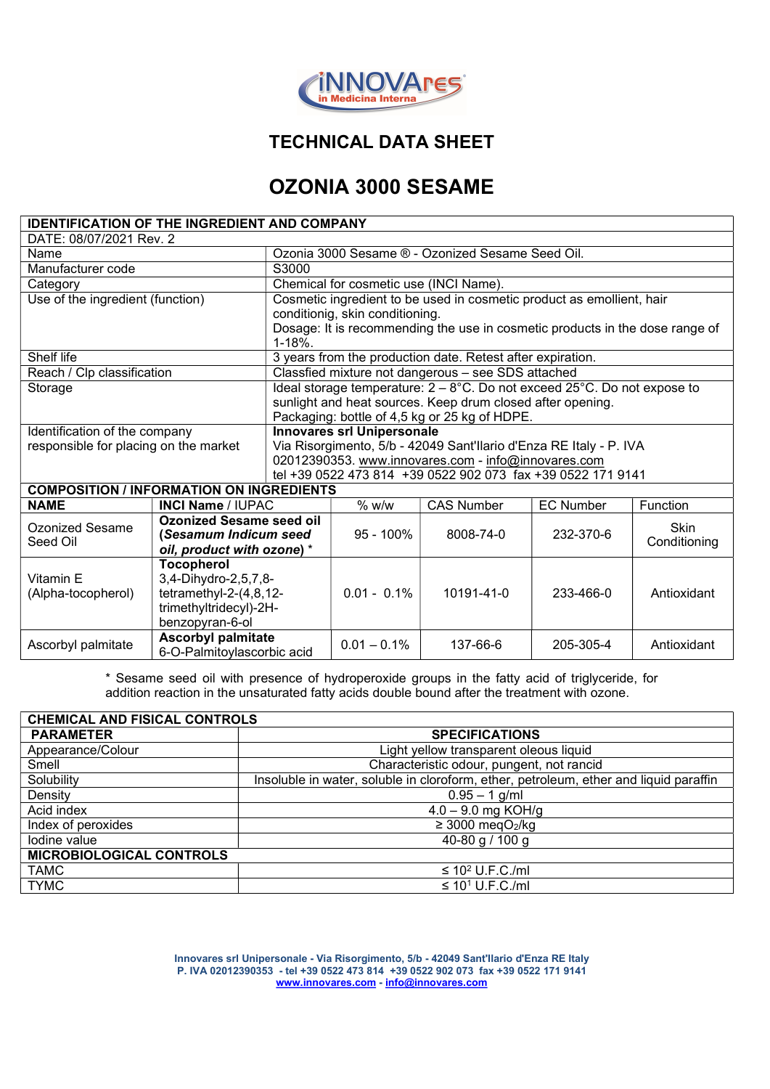

# TECHNICAL DATA SHEET

# OZONIA 3000 SESAME

| <b>IDENTIFICATION OF THE INGREDIENT AND COMPANY</b> |                                                                        |                                                                                           |                |                   |                  |                      |  |
|-----------------------------------------------------|------------------------------------------------------------------------|-------------------------------------------------------------------------------------------|----------------|-------------------|------------------|----------------------|--|
| DATE: 08/07/2021 Rev. 2                             |                                                                        |                                                                                           |                |                   |                  |                      |  |
| Name                                                |                                                                        | Ozonia 3000 Sesame ® - Ozonized Sesame Seed Oil.                                          |                |                   |                  |                      |  |
| Manufacturer code                                   |                                                                        | S3000                                                                                     |                |                   |                  |                      |  |
| Category                                            |                                                                        | Chemical for cosmetic use (INCI Name).                                                    |                |                   |                  |                      |  |
| Use of the ingredient (function)                    |                                                                        | Cosmetic ingredient to be used in cosmetic product as emollient, hair                     |                |                   |                  |                      |  |
|                                                     |                                                                        | conditionig, skin conditioning.                                                           |                |                   |                  |                      |  |
|                                                     |                                                                        | Dosage: It is recommending the use in cosmetic products in the dose range of<br>$1 - 18%$ |                |                   |                  |                      |  |
| Shelf life                                          |                                                                        | 3 years from the production date. Retest after expiration.                                |                |                   |                  |                      |  |
| Reach / Clp classification                          |                                                                        | Classfied mixture not dangerous - see SDS attached                                        |                |                   |                  |                      |  |
| Storage                                             |                                                                        | Ideal storage temperature: $2 - 8$ °C. Do not exceed 25°C. Do not expose to               |                |                   |                  |                      |  |
|                                                     |                                                                        | sunlight and heat sources. Keep drum closed after opening.                                |                |                   |                  |                      |  |
|                                                     |                                                                        | Packaging: bottle of 4,5 kg or 25 kg of HDPE.                                             |                |                   |                  |                      |  |
| Identification of the company                       |                                                                        | <b>Innovares srl Unipersonale</b>                                                         |                |                   |                  |                      |  |
| responsible for placing on the market               |                                                                        | Via Risorgimento, 5/b - 42049 Sant'Ilario d'Enza RE Italy - P. IVA                        |                |                   |                  |                      |  |
|                                                     |                                                                        | 02012390353. www.innovares.com - info@innovares.com                                       |                |                   |                  |                      |  |
|                                                     |                                                                        | tel +39 0522 473 814 +39 0522 902 073 fax +39 0522 171 9141                               |                |                   |                  |                      |  |
| <b>COMPOSITION / INFORMATION ON INGREDIENTS</b>     |                                                                        |                                                                                           |                |                   |                  |                      |  |
| <b>NAME</b>                                         | <b>INCI Name / IUPAC</b>                                               |                                                                                           | % w/w          | <b>CAS Number</b> | <b>EC Number</b> | Function             |  |
| <b>Ozonized Sesame</b><br>Seed Oil                  | <b>Ozonized Sesame seed oil</b>                                        |                                                                                           | $95 - 100\%$   | 8008-74-0         | 232-370-6        | Skin<br>Conditioning |  |
|                                                     | (Sesamum Indicum seed                                                  |                                                                                           |                |                   |                  |                      |  |
|                                                     | oil, product with ozone) *                                             |                                                                                           |                |                   |                  |                      |  |
|                                                     | <b>Tocopherol</b><br>3,4-Dihydro-2,5,7,8-<br>tetramethyl-2- $(4,8,12-$ |                                                                                           | $0.01 - 0.1\%$ |                   | 233-466-0        | Antioxidant          |  |
| Vitamin E                                           |                                                                        |                                                                                           |                | 10191-41-0        |                  |                      |  |
| (Alpha-tocopherol)                                  |                                                                        |                                                                                           |                |                   |                  |                      |  |
|                                                     | trimethyltridecyl)-2H-                                                 |                                                                                           |                |                   |                  |                      |  |
|                                                     | benzopyran-6-ol                                                        |                                                                                           |                |                   |                  |                      |  |
| Ascorbyl palmitate                                  | <b>Ascorbyl palmitate</b><br>6-O-Palmitoylascorbic acid                |                                                                                           | $0.01 - 0.1\%$ | 137-66-6          | 205-305-4        | Antioxidant          |  |

\* Sesame seed oil with presence of hydroperoxide groups in the fatty acid of triglyceride, for addition reaction in the unsaturated fatty acids double bound after the treatment with ozone.

| <b>CHEMICAL AND FISICAL CONTROLS</b> |                                                                                       |  |  |  |
|--------------------------------------|---------------------------------------------------------------------------------------|--|--|--|
| <b>PARAMETER</b>                     | <b>SPECIFICATIONS</b>                                                                 |  |  |  |
| Appearance/Colour                    | Light yellow transparent oleous liquid                                                |  |  |  |
| Smell                                | Characteristic odour, pungent, not rancid                                             |  |  |  |
| Solubility                           | Insoluble in water, soluble in cloroform, ether, petroleum, ether and liquid paraffin |  |  |  |
| Density                              | $0.95 - 1$ g/ml                                                                       |  |  |  |
| Acid index                           | $4.0 - 9.0$ mg KOH/g                                                                  |  |  |  |
| Index of peroxides                   | $\geq$ 3000 megO <sub>2</sub> /kg                                                     |  |  |  |
| Iodine value                         | 40-80 g / 100 g                                                                       |  |  |  |
| <b>MICROBIOLOGICAL CONTROLS</b>      |                                                                                       |  |  |  |
| <b>TAMC</b>                          | $\leq 10^2$ U.F.C./ml                                                                 |  |  |  |
| <b>TYMC</b>                          | $\leq 10^1$ U.F.C./ml                                                                 |  |  |  |

Innovares srl Unipersonale - Via Risorgimento, 5/b - 42049 Sant'Ilario d'Enza RE Italy P. IVA 02012390353 - tel +39 0522 473 814 +39 0522 902 073 fax +39 0522 171 9141 www.innovares.com - info@innovares.com